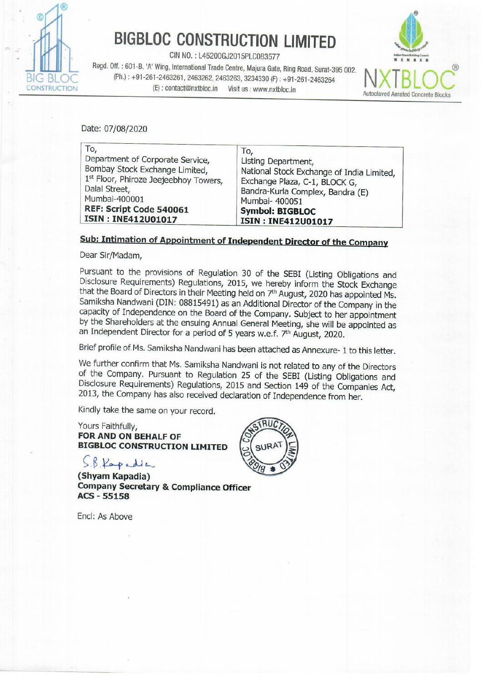

# BIGBLOC CONSTRUCTION LIMITED

CIN NO. : L45200GJ2015PLC083577

Regd. Off. : 601-B, 'A' Wing, International Trade Centre, Majura Gate, Ring Road, Surat-395 002.<br>BIG BLOC (Ph.): +91-261-2463261, 2463262, 2463262, 3234330 (F): +91-261-2463264 (Ph.): +91-261-2463261, 2463262, 2463262, 246 BIGBLOC CONSTRUC<br>
CIN NO. : L45200GJ2015<br>
Regd. Off. : 601-B, 'A' Wing, International Trade Centre,<br>
(Ph.) : +91-261-2463261, 2463262, 2463263,<br>
(E) : contact@nxtbloc.in Visit u<br>
Nate: 07/08/2020



| <b>BIGBLOC CONSTRUCTION LIMITED</b>                                                                                                                                                                                   |
|-----------------------------------------------------------------------------------------------------------------------------------------------------------------------------------------------------------------------|
| CIN NO.: L45200GJ2015PLC083577<br>Regd. Off.: 601-B, 'A' Wing, International Trade Centre, Majura Gate, Ring Road, Surat-395 002.                                                                                     |
| (Ph.): +91-261-2463261, 2463262, 2463263, 3234330 (F): +91-261-2463264<br>Visit us : www.nxtbloc.in<br><b>Autoclaved Aerate</b>                                                                                       |
|                                                                                                                                                                                                                       |
|                                                                                                                                                                                                                       |
| To,<br>Listing Department,<br>National Stock Exchange of India Limited,<br>Exchange Plaza, C-1, BLOCK G,<br>Bandra-Kurla Complex, Bandra (E)<br>Mumbai- 400051<br><b>Symbol: BIGBLOC</b><br><b>ISIN: INE412U01017</b> |
|                                                                                                                                                                                                                       |

### Sub: Intimation of Appointment of Independent Director of the Company

Dear Sir/Madam,

Pursuant to the provisions of Regulation 30 of the SEBI (Listing Obligations and Disclosure Requirements) Regulations, 2015, we hereby inform the Stock Exchange that the Board of Directors in their Meeting held on  $7<sup>th</sup>$ 

Brief profile of Ms. Samiksha Nandwani has been attached as Annexure- 1 to this letter.

We further confirm that Ms. Samiksha Nandwani is not related to any of the Directors of the Company. Pursuant to Regulation 25 of the SEBI (Listing Obligations and Disclosure Requirements) Regulations, 2015 and Section 149

Kindly take the same on your record.

Yours Faithfully, FOR AND ON BEHALF OF BIGBLOC CONSTRUCTION LIMITED

S.B. Kapadia

(Shyam Kapadia) Company Secretary & Compliance Officer ACS - 55158

Encl: As Above